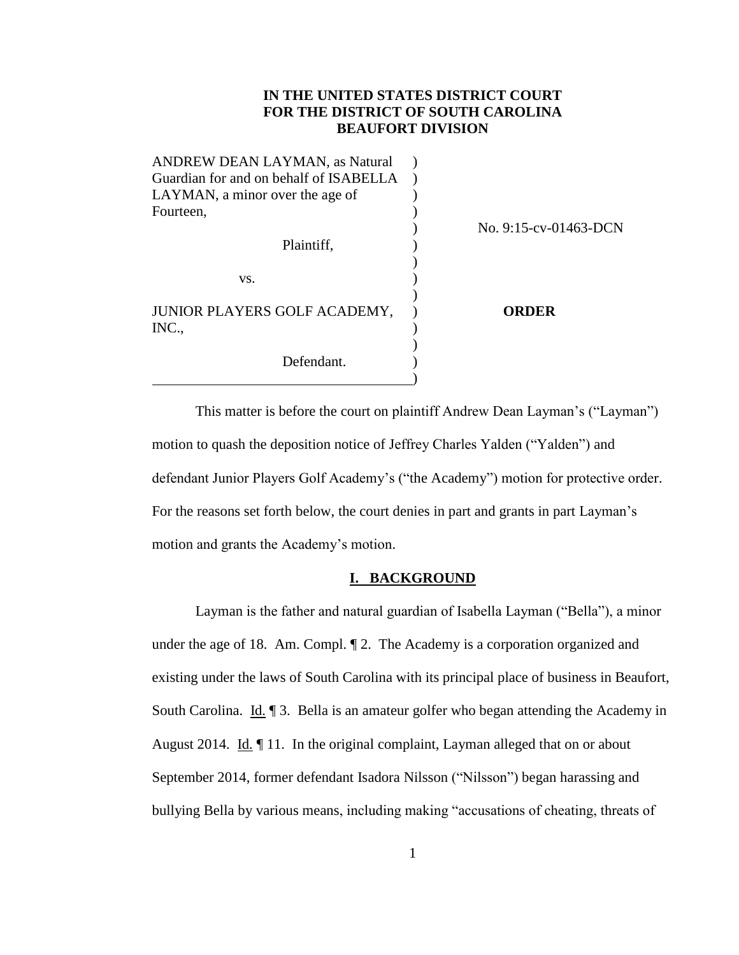# **IN THE UNITED STATES DISTRICT COURT FOR THE DISTRICT OF SOUTH CAROLINA BEAUFORT DIVISION**

| ANDREW DEAN LAYMAN, as Natural         |                       |
|----------------------------------------|-----------------------|
| Guardian for and on behalf of ISABELLA |                       |
| LAYMAN, a minor over the age of        |                       |
| Fourteen,                              |                       |
|                                        | No. 9:15-cv-01463-DCN |
| Plaintiff,                             |                       |
|                                        |                       |
| VS.                                    |                       |
| JUNIOR PLAYERS GOLF ACADEMY,<br>INC.,  | <b>ORDER</b>          |
| Defendant.                             |                       |

This matter is before the court on plaintiff Andrew Dean Layman's ("Layman") motion to quash the deposition notice of Jeffrey Charles Yalden ("Yalden") and defendant Junior Players Golf Academy's ("the Academy") motion for protective order. For the reasons set forth below, the court denies in part and grants in part Layman's motion and grants the Academy's motion.

# **I. BACKGROUND**

Layman is the father and natural guardian of Isabella Layman ("Bella"), a minor under the age of 18. Am. Compl. ¶ 2. The Academy is a corporation organized and existing under the laws of South Carolina with its principal place of business in Beaufort, South Carolina. Id. ¶ 3. Bella is an amateur golfer who began attending the Academy in August 2014. Id. ¶ 11. In the original complaint, Layman alleged that on or about September 2014, former defendant Isadora Nilsson ("Nilsson") began harassing and bullying Bella by various means, including making "accusations of cheating, threats of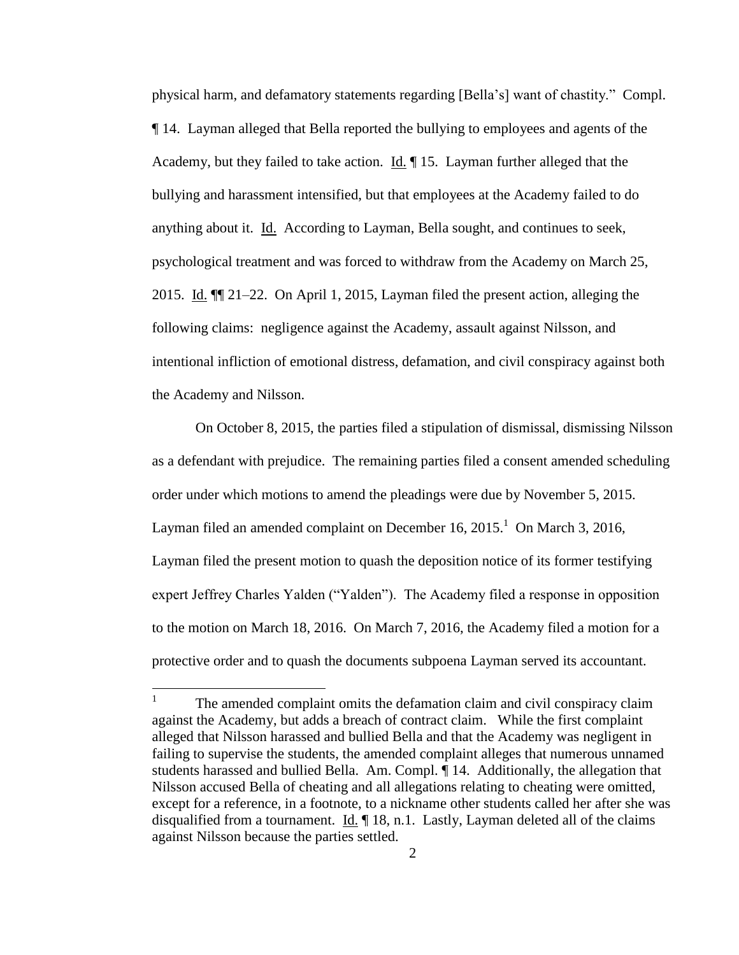physical harm, and defamatory statements regarding [Bella's] want of chastity." Compl. ¶ 14. Layman alleged that Bella reported the bullying to employees and agents of the Academy, but they failed to take action. Id. ¶ 15. Layman further alleged that the bullying and harassment intensified, but that employees at the Academy failed to do anything about it. Id. According to Layman, Bella sought, and continues to seek, psychological treatment and was forced to withdraw from the Academy on March 25, 2015. Id. ¶¶ 21–22. On April 1, 2015, Layman filed the present action, alleging the following claims: negligence against the Academy, assault against Nilsson, and intentional infliction of emotional distress, defamation, and civil conspiracy against both the Academy and Nilsson.

On October 8, 2015, the parties filed a stipulation of dismissal, dismissing Nilsson as a defendant with prejudice. The remaining parties filed a consent amended scheduling order under which motions to amend the pleadings were due by November 5, 2015. Layman filed an amended complaint on December 16,  $2015<sup>1</sup>$  On March 3, 2016, Layman filed the present motion to quash the deposition notice of its former testifying expert Jeffrey Charles Yalden ("Yalden"). The Academy filed a response in opposition to the motion on March 18, 2016. On March 7, 2016, the Academy filed a motion for a protective order and to quash the documents subpoena Layman served its accountant.

 $\frac{1}{1}$ The amended complaint omits the defamation claim and civil conspiracy claim against the Academy, but adds a breach of contract claim. While the first complaint alleged that Nilsson harassed and bullied Bella and that the Academy was negligent in failing to supervise the students, the amended complaint alleges that numerous unnamed students harassed and bullied Bella. Am. Compl. ¶ 14. Additionally, the allegation that Nilsson accused Bella of cheating and all allegations relating to cheating were omitted, except for a reference, in a footnote, to a nickname other students called her after she was disqualified from a tournament. Id. ¶ 18, n.1. Lastly, Layman deleted all of the claims against Nilsson because the parties settled.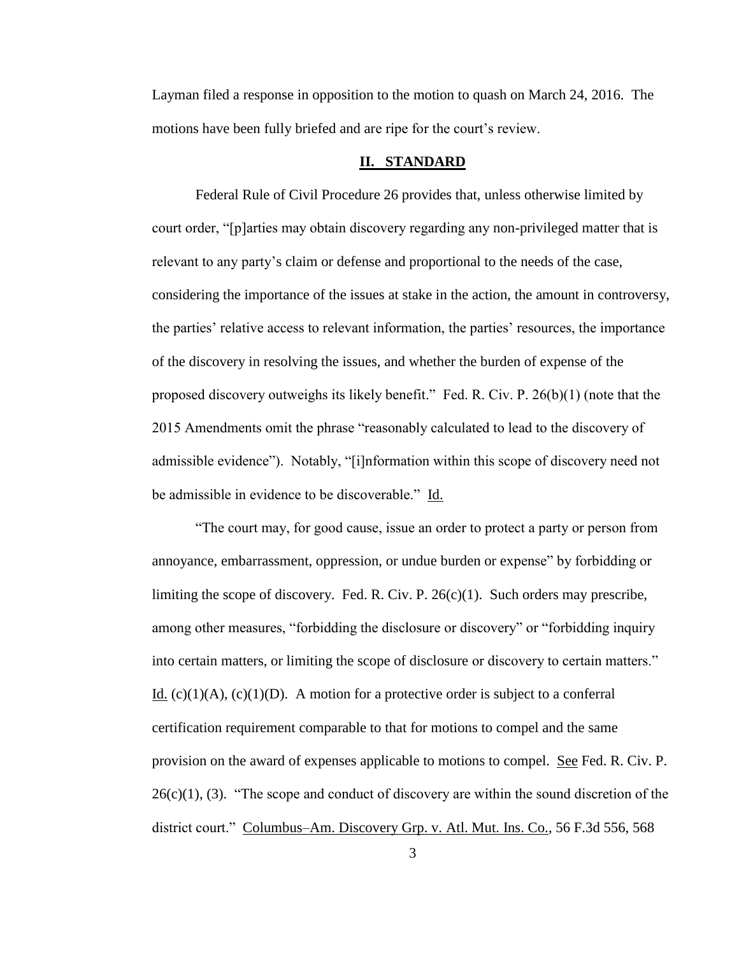Layman filed a response in opposition to the motion to quash on March 24, 2016. The motions have been fully briefed and are ripe for the court's review.

### **II. STANDARD**

Federal Rule of Civil Procedure 26 provides that, unless otherwise limited by court order, "[p]arties may obtain discovery regarding any non-privileged matter that is relevant to any party's claim or defense and proportional to the needs of the case, considering the importance of the issues at stake in the action, the amount in controversy, the parties' relative access to relevant information, the parties' resources, the importance of the discovery in resolving the issues, and whether the burden of expense of the proposed discovery outweighs its likely benefit." Fed. R. Civ. P. 26(b)(1) (note that the 2015 Amendments omit the phrase "reasonably calculated to lead to the discovery of admissible evidence"). Notably, "[i]nformation within this scope of discovery need not be admissible in evidence to be discoverable." Id.

"The court may, for good cause, issue an order to protect a party or person from annoyance, embarrassment, oppression, or undue burden or expense" by forbidding or limiting the scope of discovery. Fed. R. Civ. P.  $26(c)(1)$ . Such orders may prescribe, among other measures, "forbidding the disclosure or discovery" or "forbidding inquiry into certain matters, or limiting the scope of disclosure or discovery to certain matters." Id. (c)(1)(A), (c)(1)(D). A motion for a protective order is subject to a conferral certification requirement comparable to that for motions to compel and the same provision on the award of expenses applicable to motions to compel. See Fed. R. Civ. P.  $26(c)(1)$ , (3). "The scope and conduct of discovery are within the sound discretion of the district court." Columbus–Am. Discovery Grp. v. Atl. Mut. Ins. Co., 56 F.3d 556, 568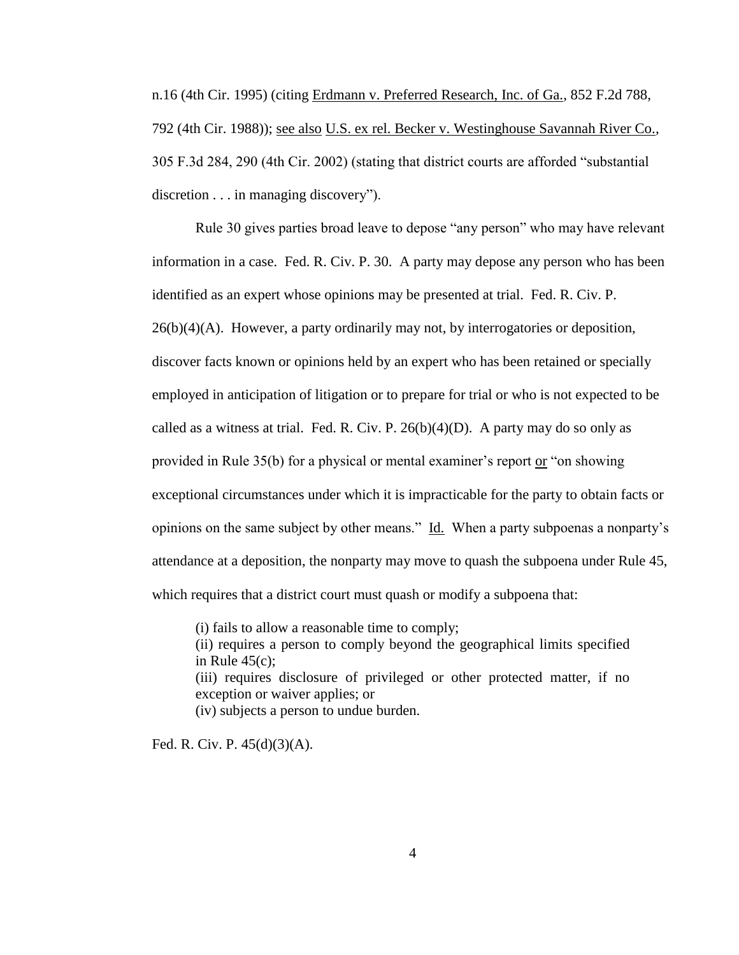n.16 (4th Cir. 1995) (citing Erdmann v. Preferred Research, Inc. of Ga., 852 F.2d 788, 792 (4th Cir. 1988)); see also U.S. ex rel. Becker v. Westinghouse Savannah River Co., 305 F.3d 284, 290 (4th Cir. 2002) (stating that district courts are afforded "substantial discretion . . . in managing discovery").

Rule 30 gives parties broad leave to depose "any person" who may have relevant information in a case. Fed. R. Civ. P. 30. A party may depose any person who has been identified as an expert whose opinions may be presented at trial. Fed. R. Civ. P.  $26(b)(4)(A)$ . However, a party ordinarily may not, by interrogatories or deposition, discover facts known or opinions held by an expert who has been retained or specially employed in anticipation of litigation or to prepare for trial or who is not expected to be called as a witness at trial. Fed. R. Civ. P.  $26(b)(4)(D)$ . A party may do so only as provided in Rule 35(b) for a physical or mental examiner's report or "on showing exceptional circumstances under which it is impracticable for the party to obtain facts or opinions on the same subject by other means." Id. When a party subpoenas a nonparty's attendance at a deposition, the nonparty may move to quash the subpoena under Rule 45, which requires that a district court must quash or modify a subpoena that:

(i) fails to allow a reasonable time to comply;

(ii) requires a person to comply beyond the geographical limits specified in Rule  $45(c)$ : (iii) requires disclosure of privileged or other protected matter, if no

exception or waiver applies; or

(iv) subjects a person to undue burden.

Fed. R. Civ. P. 45(d)(3)(A).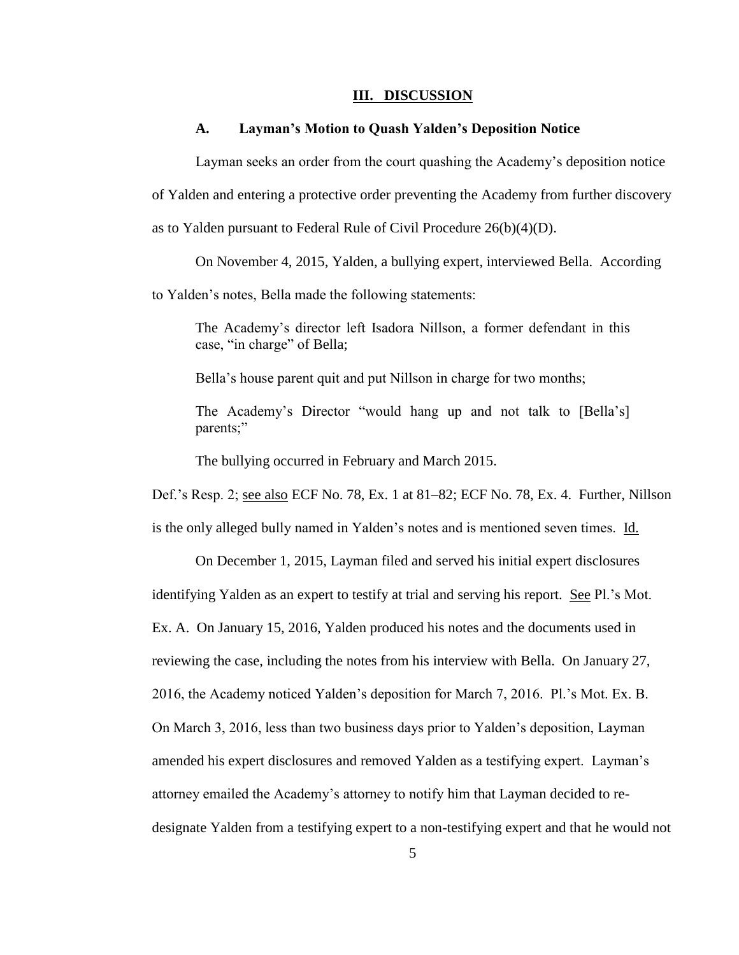#### **III. DISCUSSION**

## **A. Layman's Motion to Quash Yalden's Deposition Notice**

Layman seeks an order from the court quashing the Academy's deposition notice

of Yalden and entering a protective order preventing the Academy from further discovery

as to Yalden pursuant to Federal Rule of Civil Procedure 26(b)(4)(D).

On November 4, 2015, Yalden, a bullying expert, interviewed Bella. According

to Yalden's notes, Bella made the following statements:

The Academy's director left Isadora Nillson, a former defendant in this case, "in charge" of Bella;

Bella's house parent quit and put Nillson in charge for two months;

The Academy's Director "would hang up and not talk to [Bella's] parents;"

The bullying occurred in February and March 2015.

Def.'s Resp. 2; see also ECF No. 78, Ex. 1 at 81–82; ECF No. 78, Ex. 4. Further, Nillson is the only alleged bully named in Yalden's notes and is mentioned seven times. Id.

On December 1, 2015, Layman filed and served his initial expert disclosures identifying Yalden as an expert to testify at trial and serving his report. See Pl.'s Mot. Ex. A. On January 15, 2016, Yalden produced his notes and the documents used in reviewing the case, including the notes from his interview with Bella. On January 27, 2016, the Academy noticed Yalden's deposition for March 7, 2016. Pl.'s Mot. Ex. B. On March 3, 2016, less than two business days prior to Yalden's deposition, Layman amended his expert disclosures and removed Yalden as a testifying expert. Layman's attorney emailed the Academy's attorney to notify him that Layman decided to redesignate Yalden from a testifying expert to a non-testifying expert and that he would not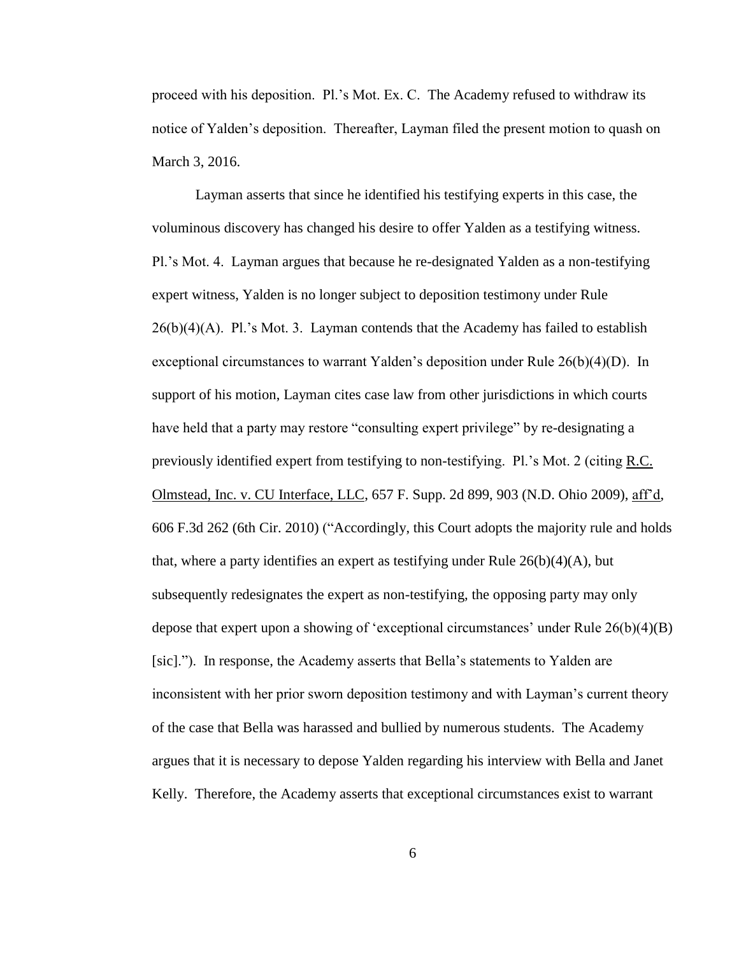proceed with his deposition. Pl.'s Mot. Ex. C. The Academy refused to withdraw its notice of Yalden's deposition. Thereafter, Layman filed the present motion to quash on March 3, 2016.

Layman asserts that since he identified his testifying experts in this case, the voluminous discovery has changed his desire to offer Yalden as a testifying witness. Pl.'s Mot. 4. Layman argues that because he re-designated Yalden as a non-testifying expert witness, Yalden is no longer subject to deposition testimony under Rule  $26(b)(4)(A)$ . Pl.'s Mot. 3. Layman contends that the Academy has failed to establish exceptional circumstances to warrant Yalden's deposition under Rule 26(b)(4)(D). In support of his motion, Layman cites case law from other jurisdictions in which courts have held that a party may restore "consulting expert privilege" by re-designating a previously identified expert from testifying to non-testifying. Pl.'s Mot. 2 (citing R.C. Olmstead, Inc. v. CU Interface, LLC, 657 F. Supp. 2d 899, 903 (N.D. Ohio 2009), aff'd, 606 F.3d 262 (6th Cir. 2010) ("Accordingly, this Court adopts the majority rule and holds that, where a party identifies an expert as testifying under Rule  $26(b)(4)(A)$ , but subsequently redesignates the expert as non-testifying, the opposing party may only depose that expert upon a showing of 'exceptional circumstances' under Rule  $26(b)(4)(B)$ [sic]."). In response, the Academy asserts that Bella's statements to Yalden are inconsistent with her prior sworn deposition testimony and with Layman's current theory of the case that Bella was harassed and bullied by numerous students. The Academy argues that it is necessary to depose Yalden regarding his interview with Bella and Janet Kelly. Therefore, the Academy asserts that exceptional circumstances exist to warrant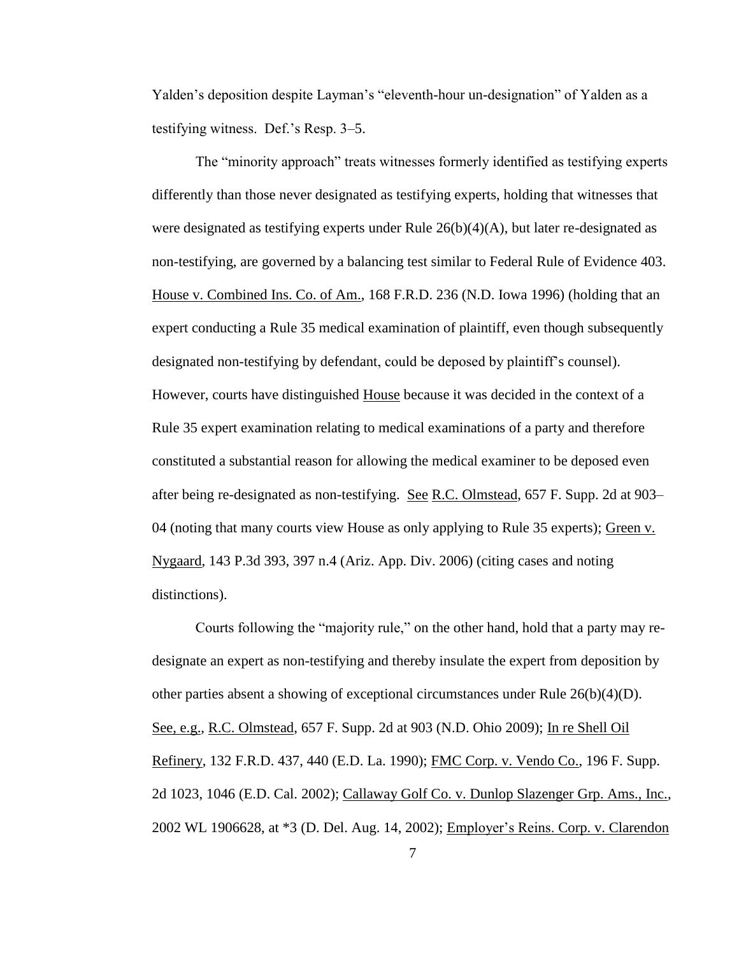Yalden's deposition despite Layman's "eleventh-hour un-designation" of Yalden as a testifying witness. Def.'s Resp. 3–5.

The "minority approach" treats witnesses formerly identified as testifying experts differently than those never designated as testifying experts, holding that witnesses that were designated as testifying experts under Rule  $26(b)(4)(A)$ , but later re-designated as non-testifying, are governed by a balancing test similar to Federal Rule of Evidence 403. House v. Combined Ins. Co. of Am., 168 F.R.D. 236 (N.D. Iowa 1996) (holding that an expert conducting a Rule 35 medical examination of plaintiff, even though subsequently designated non-testifying by defendant, could be deposed by plaintiff's counsel). However, courts have distinguished House because it was decided in the context of a Rule 35 expert examination relating to medical examinations of a party and therefore constituted a substantial reason for allowing the medical examiner to be deposed even after being re-designated as non-testifying. See R.C. Olmstead, 657 F. Supp. 2d at 903– 04 (noting that many courts view House as only applying to Rule 35 experts); Green v. Nygaard, 143 P.3d 393, 397 n.4 (Ariz. App. Div. 2006) (citing cases and noting distinctions).

Courts following the "majority rule," on the other hand, hold that a party may redesignate an expert as non-testifying and thereby insulate the expert from deposition by other parties absent a showing of exceptional circumstances under Rule  $26(b)(4)(D)$ . See, e.g., R.C. Olmstead, 657 F. Supp. 2d at 903 (N.D. Ohio 2009); In re Shell Oil Refinery, 132 F.R.D. 437, 440 (E.D. La. 1990); FMC Corp. v. Vendo Co., 196 F. Supp. 2d 1023, 1046 (E.D. Cal. 2002); Callaway Golf Co. v. Dunlop Slazenger Grp. Ams., Inc., 2002 WL 1906628, at \*3 (D. Del. Aug. 14, 2002); Employer's Reins. Corp. v. Clarendon

7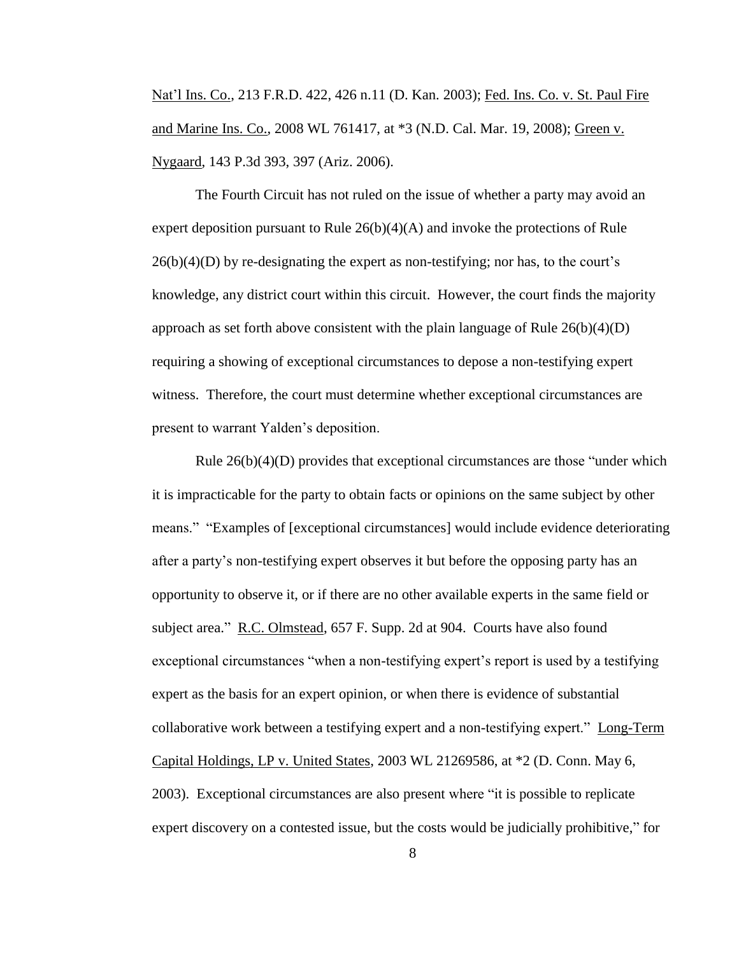Nat'l Ins. Co., 213 F.R.D. 422, 426 n.11 (D. Kan. 2003); Fed. Ins. Co. v. St. Paul Fire and Marine Ins. Co., 2008 WL 761417, at \*3 (N.D. Cal. Mar. 19, 2008); Green v. Nygaard, 143 P.3d 393, 397 (Ariz. 2006).

The Fourth Circuit has not ruled on the issue of whether a party may avoid an expert deposition pursuant to Rule  $26(b)(4)(A)$  and invoke the protections of Rule  $26(b)(4)(D)$  by re-designating the expert as non-testifying; nor has, to the court's knowledge, any district court within this circuit. However, the court finds the majority approach as set forth above consistent with the plain language of Rule  $26(b)(4)(D)$ requiring a showing of exceptional circumstances to depose a non-testifying expert witness. Therefore, the court must determine whether exceptional circumstances are present to warrant Yalden's deposition.

Rule  $26(b)(4)(D)$  provides that exceptional circumstances are those "under which it is impracticable for the party to obtain facts or opinions on the same subject by other means." "Examples of [exceptional circumstances] would include evidence deteriorating after a party's non-testifying expert observes it but before the opposing party has an opportunity to observe it, or if there are no other available experts in the same field or subject area." R.C. Olmstead, 657 F. Supp. 2d at 904. Courts have also found exceptional circumstances "when a non-testifying expert's report is used by a testifying expert as the basis for an expert opinion, or when there is evidence of substantial collaborative work between a testifying expert and a non-testifying expert." Long-Term Capital Holdings, LP v. United States, 2003 WL 21269586, at \*2 (D. Conn. May 6, 2003). Exceptional circumstances are also present where "it is possible to replicate expert discovery on a contested issue, but the costs would be judicially prohibitive," for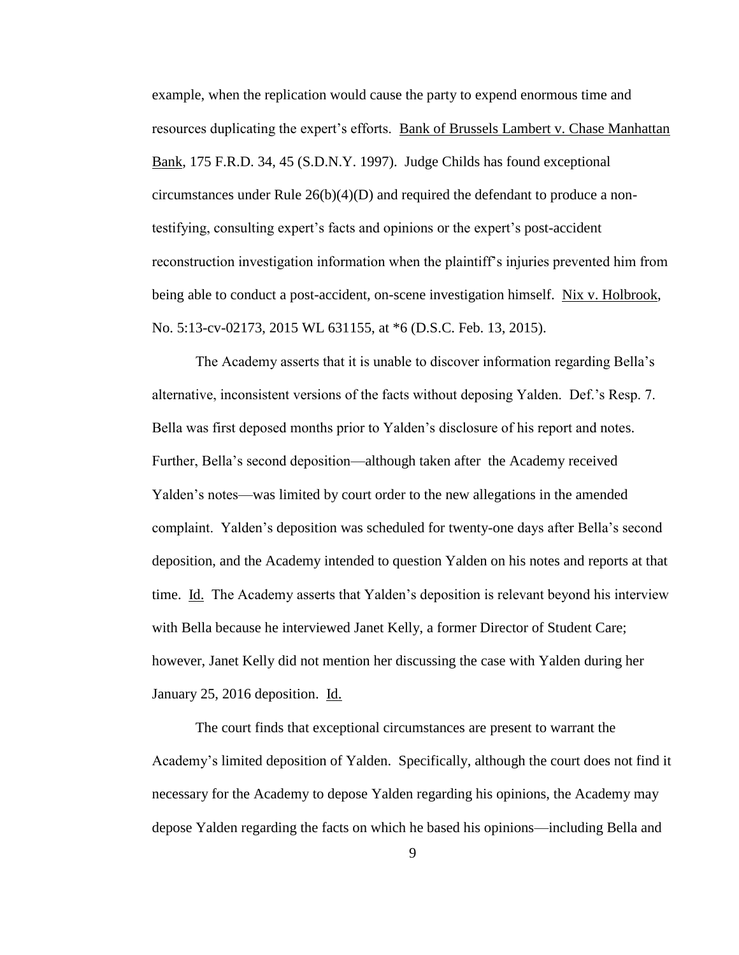example, when the replication would cause the party to expend enormous time and resources duplicating the expert's efforts. Bank of Brussels Lambert v. Chase Manhattan Bank, 175 F.R.D. 34, 45 (S.D.N.Y. 1997). Judge Childs has found exceptional circumstances under Rule  $26(b)(4)(D)$  and required the defendant to produce a nontestifying, consulting expert's facts and opinions or the expert's post-accident reconstruction investigation information when the plaintiff's injuries prevented him from being able to conduct a post-accident, on-scene investigation himself. Nix v. Holbrook, No. 5:13-cv-02173, 2015 WL 631155, at \*6 (D.S.C. Feb. 13, 2015).

The Academy asserts that it is unable to discover information regarding Bella's alternative, inconsistent versions of the facts without deposing Yalden. Def.'s Resp. 7. Bella was first deposed months prior to Yalden's disclosure of his report and notes. Further, Bella's second deposition—although taken after the Academy received Yalden's notes—was limited by court order to the new allegations in the amended complaint. Yalden's deposition was scheduled for twenty-one days after Bella's second deposition, and the Academy intended to question Yalden on his notes and reports at that time. Id. The Academy asserts that Yalden's deposition is relevant beyond his interview with Bella because he interviewed Janet Kelly, a former Director of Student Care; however, Janet Kelly did not mention her discussing the case with Yalden during her January 25, 2016 deposition. Id.

The court finds that exceptional circumstances are present to warrant the Academy's limited deposition of Yalden. Specifically, although the court does not find it necessary for the Academy to depose Yalden regarding his opinions, the Academy may depose Yalden regarding the facts on which he based his opinions—including Bella and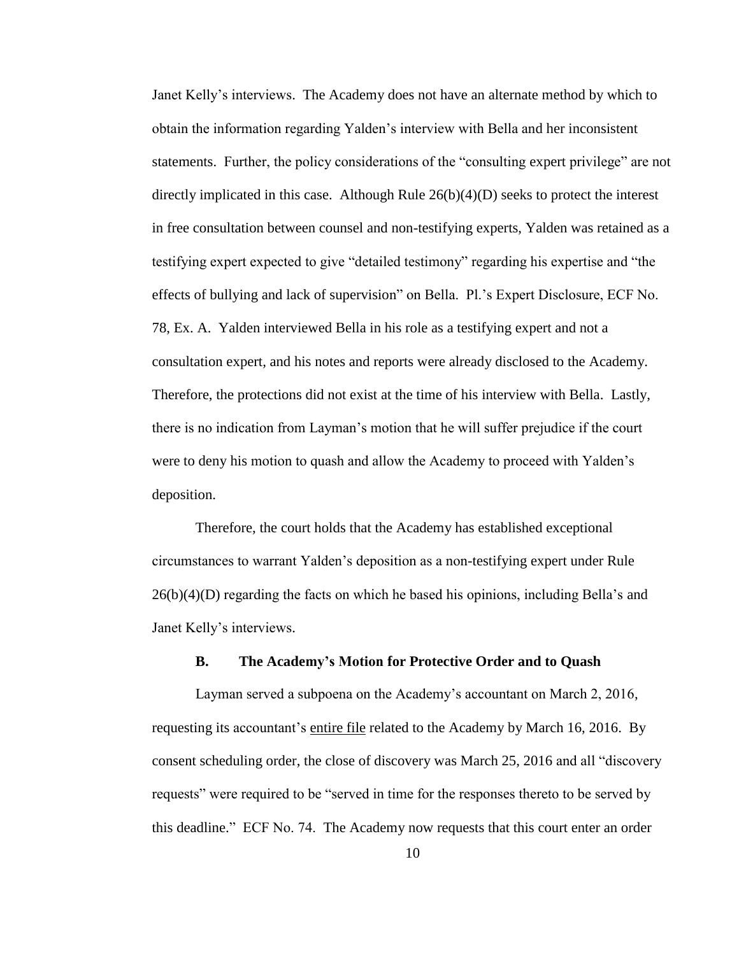Janet Kelly's interviews. The Academy does not have an alternate method by which to obtain the information regarding Yalden's interview with Bella and her inconsistent statements. Further, the policy considerations of the "consulting expert privilege" are not directly implicated in this case. Although Rule  $26(b)(4)(D)$  seeks to protect the interest in free consultation between counsel and non-testifying experts, Yalden was retained as a testifying expert expected to give "detailed testimony" regarding his expertise and "the effects of bullying and lack of supervision" on Bella. Pl.'s Expert Disclosure, ECF No. 78, Ex. A. Yalden interviewed Bella in his role as a testifying expert and not a consultation expert, and his notes and reports were already disclosed to the Academy. Therefore, the protections did not exist at the time of his interview with Bella. Lastly, there is no indication from Layman's motion that he will suffer prejudice if the court were to deny his motion to quash and allow the Academy to proceed with Yalden's deposition.

Therefore, the court holds that the Academy has established exceptional circumstances to warrant Yalden's deposition as a non-testifying expert under Rule 26(b)(4)(D) regarding the facts on which he based his opinions, including Bella's and Janet Kelly's interviews.

# **B. The Academy's Motion for Protective Order and to Quash**

Layman served a subpoena on the Academy's accountant on March 2, 2016, requesting its accountant's entire file related to the Academy by March 16, 2016. By consent scheduling order, the close of discovery was March 25, 2016 and all "discovery requests" were required to be "served in time for the responses thereto to be served by this deadline." ECF No. 74. The Academy now requests that this court enter an order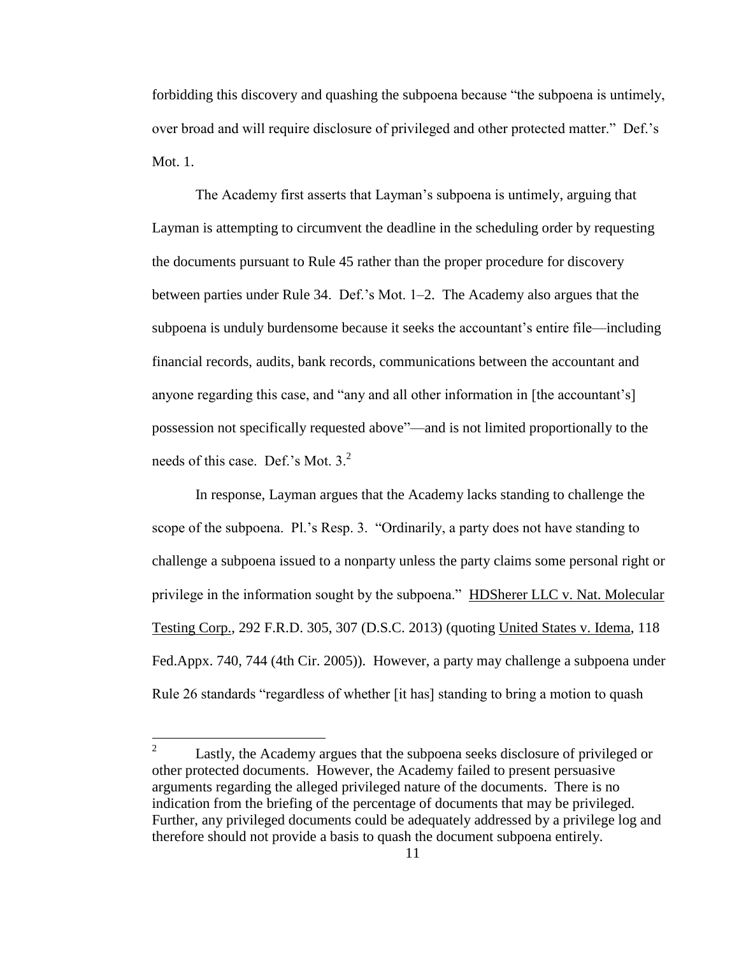forbidding this discovery and quashing the subpoena because "the subpoena is untimely, over broad and will require disclosure of privileged and other protected matter." Def.'s Mot. 1.

The Academy first asserts that Layman's subpoena is untimely, arguing that Layman is attempting to circumvent the deadline in the scheduling order by requesting the documents pursuant to Rule 45 rather than the proper procedure for discovery between parties under Rule 34. Def.'s Mot. 1–2. The Academy also argues that the subpoena is unduly burdensome because it seeks the accountant's entire file—including financial records, audits, bank records, communications between the accountant and anyone regarding this case, and "any and all other information in [the accountant's] possession not specifically requested above"—and is not limited proportionally to the needs of this case. Def.'s Mot.  $3<sup>2</sup>$ .

In response, Layman argues that the Academy lacks standing to challenge the scope of the subpoena. Pl.'s Resp. 3. "Ordinarily, a party does not have standing to challenge a subpoena issued to a nonparty unless the party claims some personal right or privilege in the information sought by the subpoena." HDSherer LLC v. Nat. Molecular Testing Corp., 292 F.R.D. 305, 307 (D.S.C. 2013) (quoting United States v. Idema, 118 Fed.Appx. 740, 744 (4th Cir. 2005)). However, a party may challenge a subpoena under Rule 26 standards "regardless of whether [it has] standing to bring a motion to quash

 $\frac{1}{2}$ Lastly, the Academy argues that the subpoena seeks disclosure of privileged or other protected documents. However, the Academy failed to present persuasive arguments regarding the alleged privileged nature of the documents. There is no indication from the briefing of the percentage of documents that may be privileged. Further, any privileged documents could be adequately addressed by a privilege log and therefore should not provide a basis to quash the document subpoena entirely.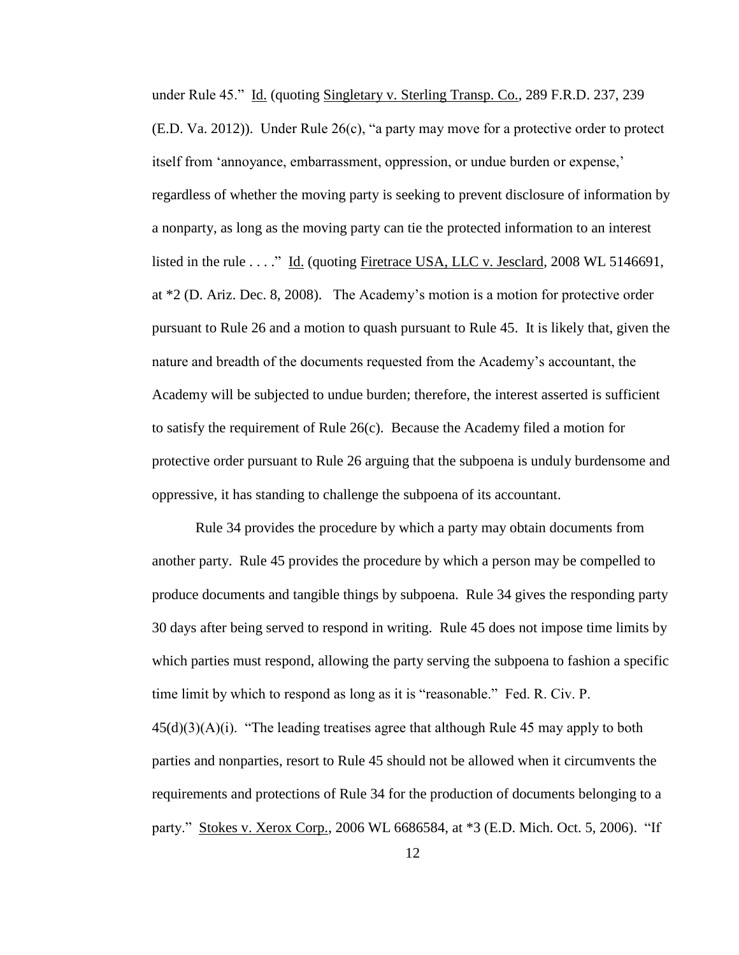under Rule 45." Id. (quoting Singletary v. Sterling Transp. Co., 289 F.R.D. 237, 239 (E.D. Va. 2012)). Under Rule 26(c), "a party may move for a protective order to protect itself from 'annoyance, embarrassment, oppression, or undue burden or expense,' regardless of whether the moving party is seeking to prevent disclosure of information by a nonparty, as long as the moving party can tie the protected information to an interest listed in the rule . . . ." Id. (quoting Firetrace USA, LLC v. Jesclard, 2008 WL 5146691, at \*2 (D. Ariz. Dec. 8, 2008). The Academy's motion is a motion for protective order pursuant to Rule 26 and a motion to quash pursuant to Rule 45. It is likely that, given the nature and breadth of the documents requested from the Academy's accountant, the Academy will be subjected to undue burden; therefore, the interest asserted is sufficient to satisfy the requirement of Rule 26(c). Because the Academy filed a motion for protective order pursuant to Rule 26 arguing that the subpoena is unduly burdensome and oppressive, it has standing to challenge the subpoena of its accountant.

Rule 34 provides the procedure by which a party may obtain documents from another party. Rule 45 provides the procedure by which a person may be compelled to produce documents and tangible things by subpoena. Rule 34 gives the responding party 30 days after being served to respond in writing. Rule 45 does not impose time limits by which parties must respond, allowing the party serving the subpoena to fashion a specific time limit by which to respond as long as it is "reasonable." Fed. R. Civ. P.  $45(d)(3)(A)(i)$ . "The leading treatises agree that although Rule 45 may apply to both parties and nonparties, resort to Rule 45 should not be allowed when it circumvents the requirements and protections of Rule 34 for the production of documents belonging to a party." Stokes v. Xerox Corp., 2006 WL 6686584, at \*3 (E.D. Mich. Oct. 5, 2006). "If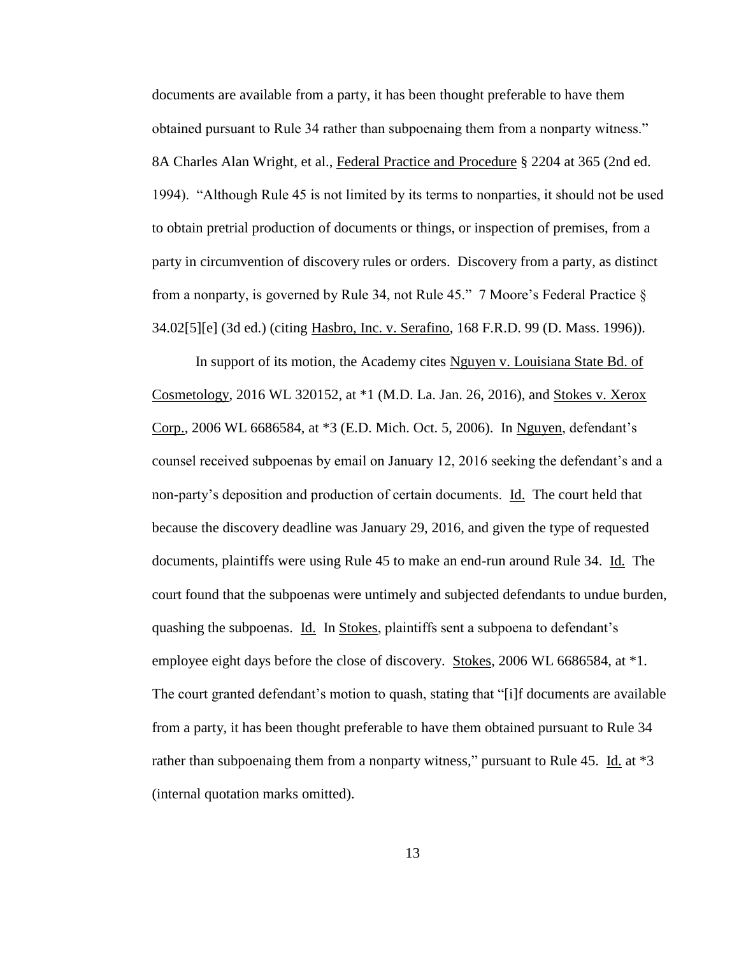documents are available from a party, it has been thought preferable to have them obtained pursuant to Rule 34 rather than subpoenaing them from a nonparty witness." 8A Charles Alan Wright, et al., Federal Practice and Procedure § 2204 at 365 (2nd ed. 1994). "Although Rule 45 is not limited by its terms to nonparties, it should not be used to obtain pretrial production of documents or things, or inspection of premises, from a party in circumvention of discovery rules or orders. Discovery from a party, as distinct from a nonparty, is governed by Rule 34, not Rule 45." 7 Moore's Federal Practice § 34.02[5][e] (3d ed.) (citing Hasbro, Inc. v. Serafino, 168 F.R.D. 99 (D. Mass. 1996)).

In support of its motion, the Academy cites Nguyen v. Louisiana State Bd. of Cosmetology, 2016 WL 320152, at \*1 (M.D. La. Jan. 26, 2016), and Stokes v. Xerox Corp., 2006 WL 6686584, at \*3 (E.D. Mich. Oct. 5, 2006). In Nguyen, defendant's counsel received subpoenas by email on January 12, 2016 seeking the defendant's and a non-party's deposition and production of certain documents. Id. The court held that because the discovery deadline was January 29, 2016, and given the type of requested documents, plaintiffs were using Rule 45 to make an end-run around Rule 34. Id. The court found that the subpoenas were untimely and subjected defendants to undue burden, quashing the subpoenas. Id. In Stokes, plaintiffs sent a subpoena to defendant's employee eight days before the close of discovery. Stokes, 2006 WL 6686584, at \*1. The court granted defendant's motion to quash, stating that "[i]f documents are available from a party, it has been thought preferable to have them obtained pursuant to Rule 34 rather than subpoenaing them from a nonparty witness," pursuant to Rule 45. Id. at \*3 (internal quotation marks omitted).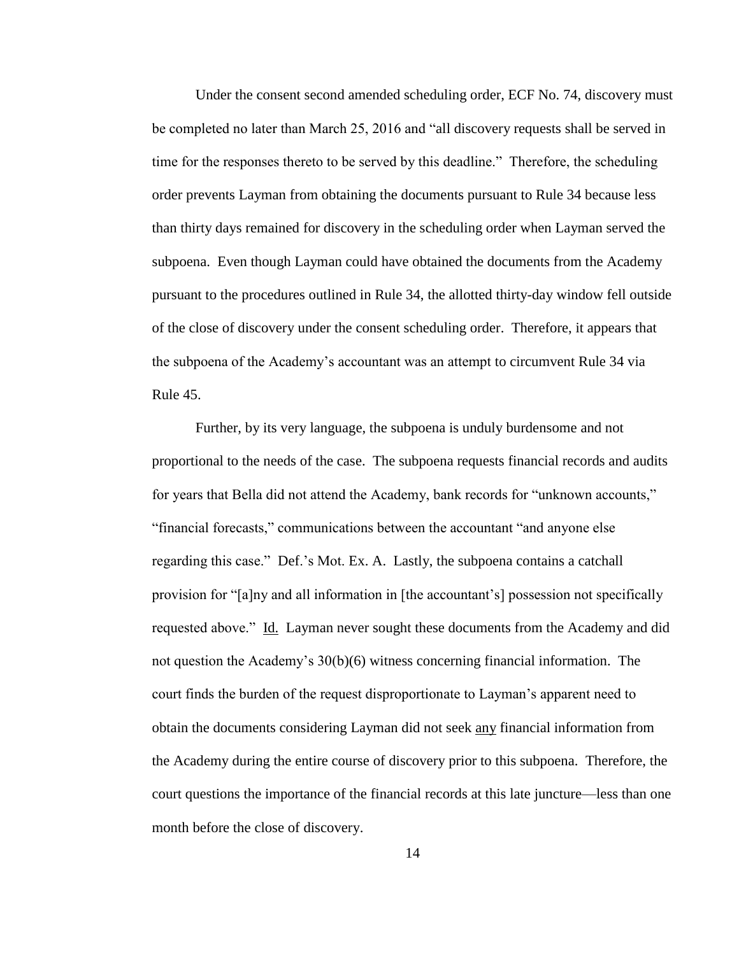Under the consent second amended scheduling order, ECF No. 74, discovery must be completed no later than March 25, 2016 and "all discovery requests shall be served in time for the responses thereto to be served by this deadline." Therefore, the scheduling order prevents Layman from obtaining the documents pursuant to Rule 34 because less than thirty days remained for discovery in the scheduling order when Layman served the subpoena. Even though Layman could have obtained the documents from the Academy pursuant to the procedures outlined in Rule 34, the allotted thirty-day window fell outside of the close of discovery under the consent scheduling order. Therefore, it appears that the subpoena of the Academy's accountant was an attempt to circumvent Rule 34 via Rule 45.

Further, by its very language, the subpoena is unduly burdensome and not proportional to the needs of the case. The subpoena requests financial records and audits for years that Bella did not attend the Academy, bank records for "unknown accounts," "financial forecasts," communications between the accountant "and anyone else regarding this case." Def.'s Mot. Ex. A. Lastly, the subpoena contains a catchall provision for "[a]ny and all information in [the accountant's] possession not specifically requested above." Id. Layman never sought these documents from the Academy and did not question the Academy's 30(b)(6) witness concerning financial information. The court finds the burden of the request disproportionate to Layman's apparent need to obtain the documents considering Layman did not seek any financial information from the Academy during the entire course of discovery prior to this subpoena. Therefore, the court questions the importance of the financial records at this late juncture—less than one month before the close of discovery.